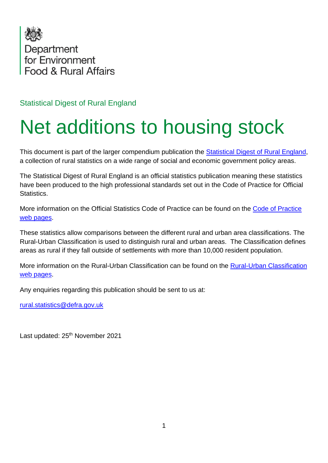

Statistical Digest of Rural England

## Net additions to housing stock

This document is part of the larger compendium publication the [Statistical Digest of Rural England,](https://www.gov.uk/government/statistics/statistical-digest-of-rural-england) a collection of rural statistics on a wide range of social and economic government policy areas.

The Statistical Digest of Rural England is an official statistics publication meaning these statistics have been produced to the high professional standards set out in the Code of Practice for Official Statistics.

More information on the Official Statistics Code of Practice can be found on the [Code of Practice](https://code.statisticsauthority.gov.uk/)  [web pages.](https://code.statisticsauthority.gov.uk/)

These statistics allow comparisons between the different rural and urban area classifications. The Rural-Urban Classification is used to distinguish rural and urban areas. The Classification defines areas as rural if they fall outside of settlements with more than 10,000 resident population.

More information on the Rural-Urban Classification can be found on the [Rural-Urban Classification](https://www.gov.uk/government/collections/rural-urban-classification)  [web pages.](https://www.gov.uk/government/collections/rural-urban-classification)

Any enquiries regarding this publication should be sent to us at:

[rural.statistics@defra.gov.uk](mailto:rural.statistics@defra.gov.uk)

Last updated: 25<sup>th</sup> November 2021